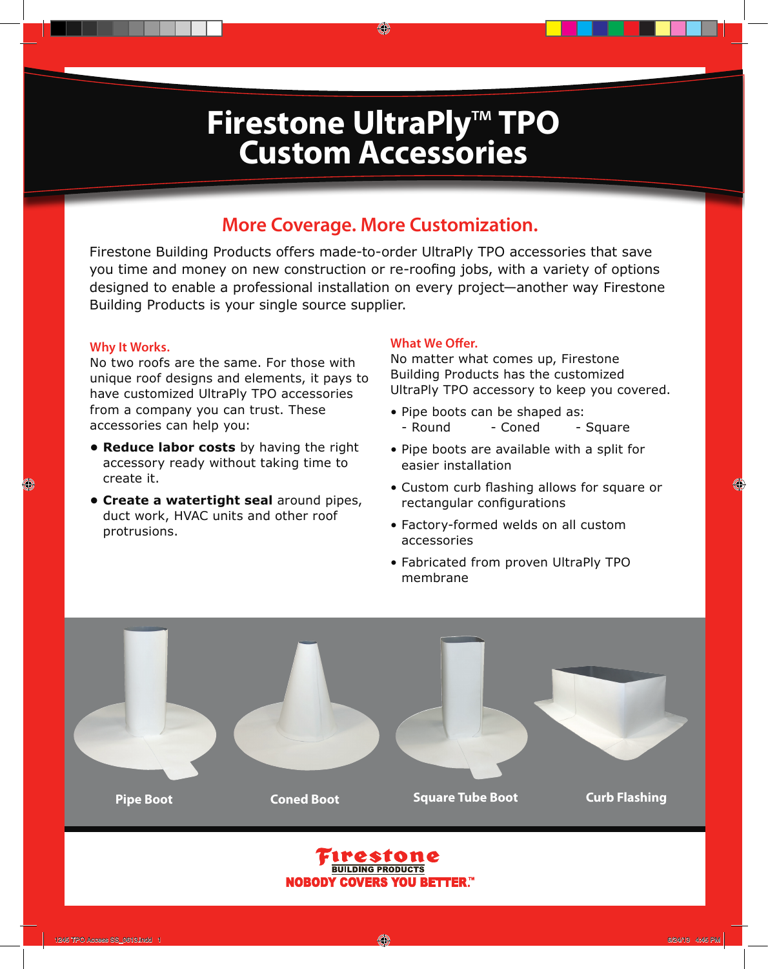# **Firestone UltraPly**™ **TPO Custom Accessories**

O

### **More Coverage. More Customization.**

Firestone Building Products offers made-to-order UltraPly TPO accessories that save you time and money on new construction or re-roofing jobs, with a variety of options designed to enable a professional installation on every project—another way Firestone Building Products is your single source supplier.

### **Why It Works.**

No two roofs are the same. For those with unique roof designs and elements, it pays to have customized UltraPly TPO accessories from a company you can trust. These accessories can help you:

- **Reduce labor costs** by having the right accessory ready without taking time to create it.
- **Create a watertight seal** around pipes, duct work, HVAC units and other roof protrusions.

#### **What We Offer.**

No matter what comes up, Firestone Building Products has the customized UltraPly TPO accessory to keep you covered.

- Pipe boots can be shaped as: - Round - Coned - Square
- Pipe boots are available with a split for easier installation
- Custom curb flashing allows for square or rectangular configurations
- Factory-formed welds on all custom accessories
- Fabricated from proven UltraPly TPO membrane

**Pipe Boot Coned Boot Square Tube Boot Curb Flashing**

 $\langle \hspace{-1.5pt} C \hspace{-1.5pt} \rangle$